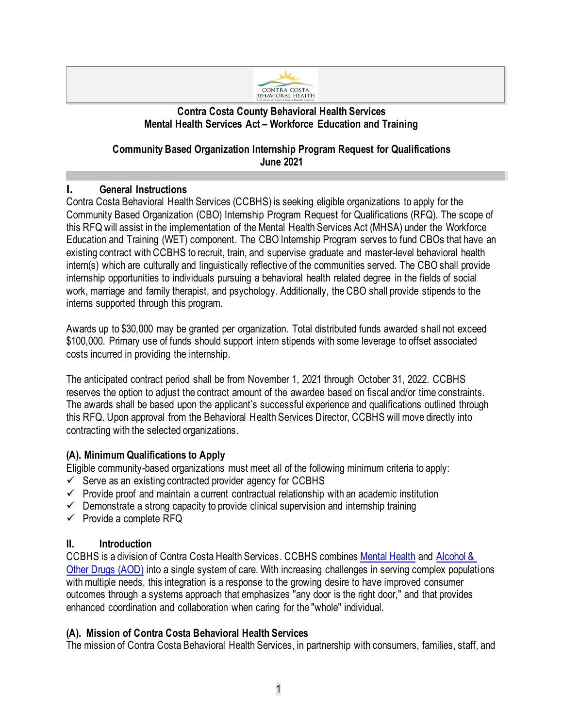

#### **Contra Costa County Behavioral Health Services Mental Health Services Act – Workforce Education and Training**

#### **Community Based Organization Internship Program Request for Qualifications June 2021**

## **I. General Instructions**

Contra Costa Behavioral Health Services (CCBHS) is seeking eligible organizations to apply for the Community Based Organization (CBO) Internship Program Request for Qualifications (RFQ). The scope of this RFQ will assist in the implementation of the Mental Health Services Act (MHSA) under the Workforce Education and Training (WET) component. The CBO Internship Program serves to fund CBOs that have an existing contract with CCBHS to recruit, train, and supervise graduate and master-level behavioral health intern(s) which are culturally and linguistically reflective of the communities served. The CBO shall provide internship opportunities to individuals pursuing a behavioral health related degree in the fields of social work, marriage and family therapist, and psychology. Additionally, the CBO shall provide stipends to the interns supported through this program.

Awards up to \$30,000 may be granted per organization. Total distributed funds awarded shall not exceed \$100,000. Primary use of funds should support intern stipends with some leverage to offset associated costs incurred in providing the internship.

The anticipated contract period shall be from November 1, 2021 through October 31, 2022. CCBHS reserves the option to adjust the contract amount of the awardee based on fiscal and/or time constraints. The awards shall be based upon the applicant's successful experience and qualifications outlined through this RFQ. Upon approval from the Behavioral Health Services Director, CCBHS will move directly into contracting with the selected organizations.

#### **(A). Minimum Qualifications to Apply**

Eligible community-based organizations must meet all of the following minimum criteria to apply:

- $\checkmark$  Serve as an existing contracted provider agency for CCBHS
- $\checkmark$  Provide proof and maintain a current contractual relationship with an academic institution
- $\checkmark$  Demonstrate a strong capacity to provide clinical supervision and internship training
- $\checkmark$  Provide a complete RFQ

#### **II. Introduction**

CCBHS is a division of Contra Costa Health Services. CCBHS combines [Mental Health](http://cchealth.org/services/mental_health/) an[d Alcohol &](http://cchealth.org/groups/alcohol_and_drugs/)  [Other Drugs](http://cchealth.org/groups/alcohol_and_drugs/) (AOD) into a single system of care. With increasing challenges in serving complex populations with multiple needs, this integration is a response to the growing desire to have improved consumer outcomes through a systems approach that emphasizes "any door is the right door," and that provides enhanced coordination and collaboration when caring for the "whole" individual.

## **(A). Mission of Contra Costa Behavioral Health Services**

The mission of Contra Costa Behavioral Health Services, in partnership with consumers, families, staff, and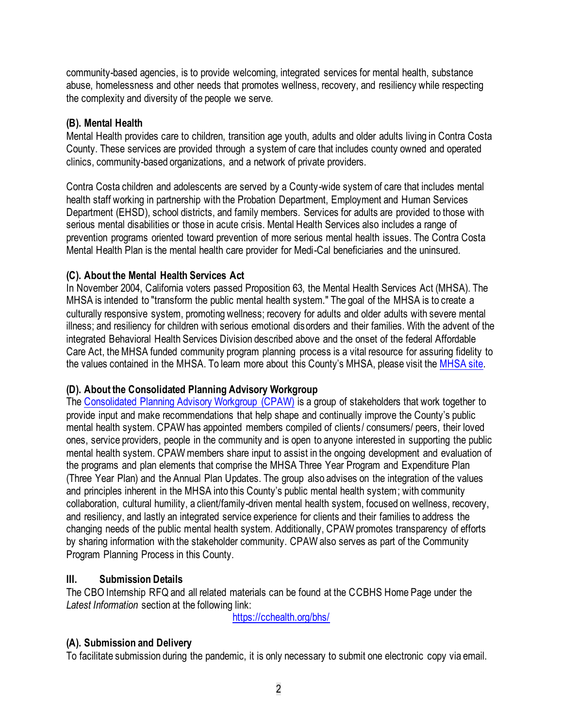community-based agencies, is to provide welcoming, integrated services for mental health, substance abuse, homelessness and other needs that promotes wellness, recovery, and resiliency while respecting the complexity and diversity of the people we serve.

#### **(B). Mental Health**

Mental Health provides care to children, transition age youth, adults and older adults living in Contra Costa County. These services are provided through a system of care that includes county owned and operated clinics, community-based organizations, and a network of private providers.

Contra Costa children and adolescents are served by a County-wide system of care that includes mental health staff working in partnership with the Probation Department, Employment and Human Services Department (EHSD), school districts, and family members. Services for adults are provided to those with serious mental disabilities or those in acute crisis. Mental Health Services also includes a range of prevention programs oriented toward prevention of more serious mental health issues. The Contra Costa Mental Health Plan is the mental health care provider for Medi-Cal beneficiaries and the uninsured.

#### **(C). About the Mental Health Services Act**

In November 2004, California voters passed Proposition 63, the Mental Health Services Act (MHSA). The MHSA is intended to "transform the public mental health system." The goal of the MHSA is to create a culturally responsive system, promoting wellness; recovery for adults and older adults with severe mental illness; and resiliency for children with serious emotional disorders and their families. With the advent of the integrated Behavioral Health Services Division described above and the onset of the federal Affordable Care Act, the MHSA funded community program planning process is a vital resource for assuring fidelity to the values contained in the MHSA. To learn more about this County's MHSA, please visit the [MHSA site.](https://cchealth.org/mentalhealth/mhsa/)

#### **(D). About the Consolidated Planning Advisory Workgroup**

The [Consolidated Planning Advisory Workgroup \(CPAW\)](https://cchealth.org/mentalhealth/mhsa/cpaw/) is a group of stakeholders that work together to provide input and make recommendations that help shape and continually improve the County's public mental health system. CPAW has appointed members compiled of clients / consumers/ peers, their loved ones, service providers, people in the community and is open to anyone interested in supporting the public mental health system. CPAW members share input to assist in the ongoing development and evaluation of the programs and plan elements that comprise the MHSA Three Year Program and Expenditure Plan (Three Year Plan) and the Annual Plan Updates. The group also advises on the integration of the values and principles inherent in the MHSA into this County's public mental health system; with community collaboration, cultural humility, a client/family-driven mental health system, focused on wellness, recovery, and resiliency, and lastly an integrated service experience for clients and their families to address the changing needs of the public mental health system. Additionally, CPAW promotes transparency of efforts by sharing information with the stakeholder community. CPAW also serves as part of the Community Program Planning Process in this County.

#### **III. Submission Details**

The CBO Internship RFQ and all related materials can be found at the CCBHS Home Page under the *Latest Information* section at the following link:

<https://cchealth.org/bhs/>

#### **(A). Submission and Delivery**

To facilitate submission during the pandemic, it is only necessary to submit one electronic copy via email.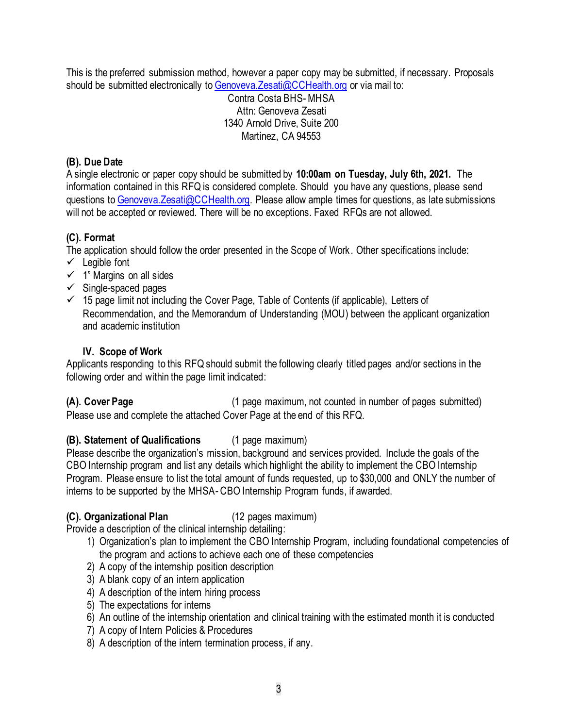This is the preferred submission method, however a paper copy may be submitted, if necessary. Proposals should be submitted electronically to Genoveva. Zesati@CCHealth.org or via mail to:

Contra Costa BHS-MHSA Attn: Genoveva Zesati 1340 Arnold Drive, Suite 200 Martinez, CA 94553

#### **(B). Due Date**

A single electronic or paper copy should be submitted by **10:00am on Tuesday, July 6th, 2021.** The information contained in this RFQ is considered complete. Should you have any questions, please send questions to [Genoveva.Zesati@CCHealth.org.](mailto:Genoveva.Zesati@CCHealth.org) Please allow ample times for questions, as late submissions will not be accepted or reviewed. There will be no exceptions. Faxed RFQs are not allowed.

## **(C). Format**

The application should follow the order presented in the Scope of Work. Other specifications include:

- $\checkmark$  Legible font
- $\checkmark$  1" Margins on all sides
- $\checkmark$  Single-spaced pages
- $\checkmark$  15 page limit not including the Cover Page, Table of Contents (if applicable), Letters of Recommendation, and the Memorandum of Understanding (MOU) between the applicant organization and academic institution

## **IV. Scope of Work**

Applicants responding to this RFQ should submit the following clearly titled pages and/or sections in the following order and within the page limit indicated:

**(A). Cover Page** (1 page maximum, not counted in number of pages submitted) Please use and complete the attached Cover Page at the end of this RFQ.

## **(B). Statement of Qualifications** (1 page maximum)

Please describe the organization's mission, background and services provided. Include the goals of the CBO Internship program and list any details which highlight the ability to implement the CBO Internship Program. Please ensure to list the total amount of funds requested, up to \$30,000 and ONLY the number of interns to be supported by the MHSA- CBO Internship Program funds, if awarded.

#### **(C). Organizational Plan** (12 pages maximum)

Provide a description of the clinical internship detailing:

- 1) Organization's plan to implement the CBO Internship Program, including foundational competencies of the program and actions to achieve each one of these competencies
- 2) A copy of the internship position description
- 3) A blank copy of an intern application
- 4) A description of the intern hiring process
- 5) The expectations for interns
- 6) An outline of the internship orientation and clinical training with the estimated month it is conducted
- 7) A copy of Intern Policies & Procedures
- 8) A description of the intern termination process, if any.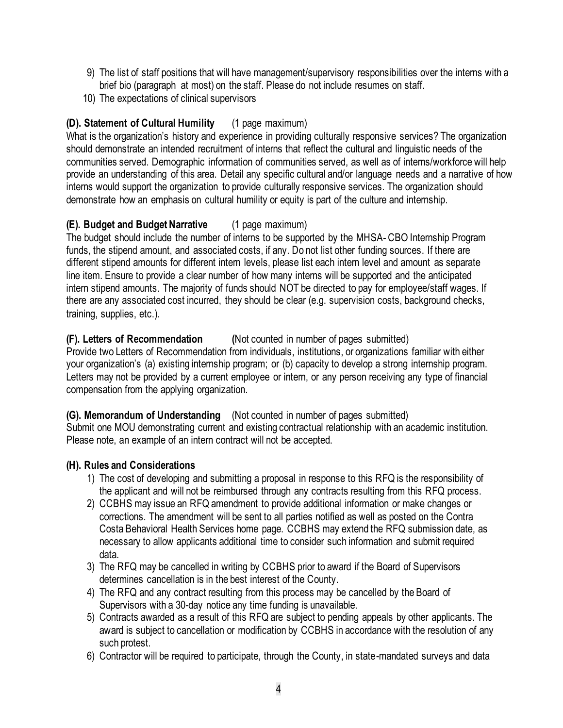- 9) The list of staff positions that will have management/supervisory responsibilities over the interns with a brief bio (paragraph at most) on the staff. Please do not include resumes on staff.
- 10) The expectations of clinical supervisors

## **(D). Statement of Cultural Humility** (1 page maximum)

What is the organization's history and experience in providing culturally responsive services? The organization should demonstrate an intended recruitment of interns that reflect the cultural and linguistic needs of the communities served. Demographic information of communities served, as well as of interns/workforce will help provide an understanding of this area. Detail any specific cultural and/or language needs and a narrative of how interns would support the organization to provide culturally responsive services. The organization should demonstrate how an emphasis on cultural humility or equity is part of the culture and internship.

#### **(E). Budget and Budget Narrative** (1 page maximum)

The budget should include the number of interns to be supported by the MHSA- CBO Internship Program funds, the stipend amount, and associated costs, if any. Do not list other funding sources. If there are different stipend amounts for different intern levels, please list each intern level and amount as separate line item. Ensure to provide a clear number of how many interns will be supported and the anticipated intern stipend amounts. The majority of funds should NOT be directed to pay for employee/staff wages. If there are any associated cost incurred, they should be clear (e.g. supervision costs, background checks, training, supplies, etc.).

## **(F). Letters of Recommendation (**Not counted in number of pages submitted)

Provide two Letters of Recommendation from individuals, institutions, or organizations familiar with either your organization's (a) existing internship program; or (b) capacity to develop a strong internship program. Letters may not be provided by a current employee or intern, or any person receiving any type of financial compensation from the applying organization.

#### **(G). Memorandum of Understanding** (Not counted in number of pages submitted)

Submit one MOU demonstrating current and existing contractual relationship with an academic institution. Please note, an example of an intern contract will not be accepted.

#### **(H). Rules and Considerations**

- 1) The cost of developing and submitting a proposal in response to this RFQ is the responsibility of the applicant and will not be reimbursed through any contracts resulting from this RFQ process.
- 2) CCBHS may issue an RFQ amendment to provide additional information or make changes or corrections. The amendment will be sent to all parties notified as well as posted on the Contra Costa Behavioral Health Services home page. CCBHS may extend the RFQ submission date, as necessary to allow applicants additional time to consider such information and submit required data.
- 3) The RFQ may be cancelled in writing by CCBHS prior to award if the Board of Supervisors determines cancellation is in the best interest of the County.
- 4) The RFQ and any contract resulting from this process may be cancelled by the Board of Supervisors with a 30-day notice any time funding is unavailable.
- 5) Contracts awarded as a result of this RFQ are subject to pending appeals by other applicants. The award is subject to cancellation or modification by CCBHS in accordance with the resolution of any such protest.
- 6) Contractor will be required to participate, through the County, in state-mandated surveys and data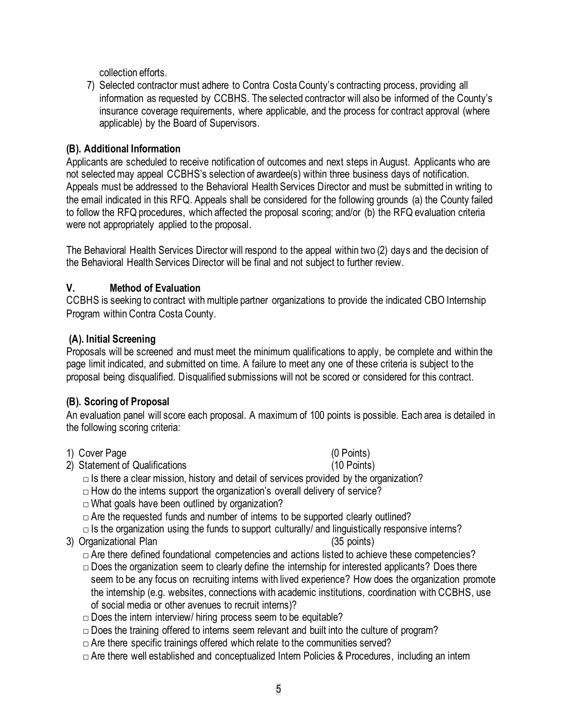collection efforts.

7) Selected contractor must adhere to Contra Costa County's contracting process, providing all information as requested by CCBHS. The selected contractor will also be informed of the County's insurance coverage requirements, where applicable, and the process for contract approval (where applicable) by the Board of Supervisors.

#### **(B). Additional Information**

Applicants are scheduled to receive notification of outcomes and next steps in August. Applicants who are not selected may appeal CCBHS's selection of awardee(s) within three business days of notification. Appeals must be addressed to the Behavioral Health Services Director and must be submitted in writing to the email indicated in this RFQ. Appeals shall be considered for the following grounds (a) the County failed to follow the RFQ procedures, which affected the proposal scoring; and/or (b) the RFQ evaluation criteria were not appropriately applied to the proposal.

The Behavioral Health Services Director will respond to the appeal within two (2) days and the decision of the Behavioral Health Services Director will be final and not subject to further review.

#### **V. Method of Evaluation**

CCBHS is seeking to contract with multiple partner organizations to provide the indicated CBO Internship Program within Contra Costa County.

#### **(A). Initial Screening**

Proposals will be screened and must meet the minimum qualifications to apply, be complete and within the page limit indicated, and submitted on time. A failure to meet any one of these criteria is subject to the proposal being disqualified. Disqualified submissions will not be scored or considered for this contract.

#### **(B). Scoring of Proposal**

An evaluation panel will score each proposal. A maximum of 100 points is possible. Each area is detailed in the following scoring criteria:

- 1) Cover Page (0 Points)
- 2) Statement of Qualifications (10 Points)

 $\Box$  Is there a clear mission, history and detail of services provided by the organization?

 $\Box$  How do the interns support the organization's overall delivery of service?

 $\Box$  What goals have been outlined by organization?

 $\Box$  Are the requested funds and number of interns to be supported clearly outlined?

 $\Box$  Is the organization using the funds to support culturally/ and linguistically responsive interns?

3) Organizational Plan (35 points)

 $\Box$  Are there defined foundational competencies and actions listed to achieve these competencies?

- $\Box$  Does the organization seem to clearly define the internship for interested applicants? Does there seem to be any focus on recruiting interns with lived experience? How does the organization promote the internship (e.g. websites, connections with academic institutions, coordination with CCBHS, use of social media or other avenues to recruit interns)?
- $\Box$  Does the intern interview/ hiring process seem to be equitable?

 $\Box$  Does the training offered to interns seem relevant and built into the culture of program?

 $\Box$  Are there specific trainings offered which relate to the communities served?

 $\Box$  Are there well established and conceptualized Intern Policies & Procedures, including an intern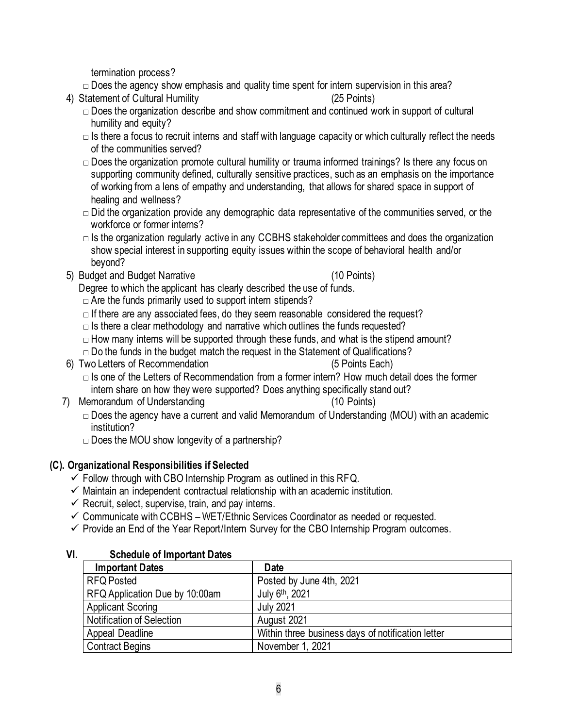termination process?

- $\Box$  Does the agency show emphasis and quality time spent for intern supervision in this area?
- 4) Statement of Cultural Humility (25 Points)
	- $\Box$  Does the organization describe and show commitment and continued work in support of cultural humility and equity?
	- $\Box$  Is there a focus to recruit interns and staff with language capacity or which culturally reflect the needs of the communities served?
	- $\Box$  Does the organization promote cultural humility or trauma informed trainings? Is there any focus on supporting community defined, culturally sensitive practices, such as an emphasis on the importance of working from a lens of empathy and understanding, that allows for shared space in support of healing and wellness?
	- $\Box$  Did the organization provide any demographic data representative of the communities served, or the workforce or former interns?
	- $\Box$  Is the organization regularly active in any CCBHS stakeholder committees and does the organization show special interest in supporting equity issues within the scope of behavioral health and/or beyond?
- 5) Budget and Budget Narrative (10 Points)

- Degree to which the applicant has clearly described the use of funds.
- $\Box$  Are the funds primarily used to support intern stipends?
- $\Box$  If there are any associated fees, do they seem reasonable considered the request?
- $\Box$  Is there a clear methodology and narrative which outlines the funds requested?
- $\Box$  How many interns will be supported through these funds, and what is the stipend amount?
- $\Box$  Do the funds in the budget match the request in the Statement of Qualifications?
- 6) Two Letters of Recommendation (5 Points Each)
	- $\Box$  Is one of the Letters of Recommendation from a former intern? How much detail does the former intern share on how they were supported? Does anything specifically stand out?
- 7) Memorandum of Understanding (10 Points)
	- $\Box$  Does the agency have a current and valid Memorandum of Understanding (MOU) with an academic institution?
	- $\Box$  Does the MOU show longevity of a partnership?

#### **(C). Organizational Responsibilities if Selected**

- $\checkmark$  Follow through with CBO Internship Program as outlined in this RFQ.
- $\checkmark$  Maintain an independent contractual relationship with an academic institution.
- $\checkmark$  Recruit, select, supervise, train, and pay interns.
- $\checkmark$  Communicate with CCBHS WET/Ethnic Services Coordinator as needed or requested.
- $\checkmark$  Provide an End of the Year Report/Intern Survey for the CBO Internship Program outcomes.

| <b>Important Dates</b>           | <b>Date</b>                                       |
|----------------------------------|---------------------------------------------------|
| <b>RFQ Posted</b>                | Posted by June 4th, 2021                          |
| RFQ Application Due by 10:00am   | July 6th, 2021                                    |
| <b>Applicant Scoring</b>         | <b>July 2021</b>                                  |
| <b>Notification of Selection</b> | August 2021                                       |
| Appeal Deadline                  | Within three business days of notification letter |
| <b>Contract Begins</b>           | November 1, 2021                                  |

#### **VI. Schedule of Important Dates**